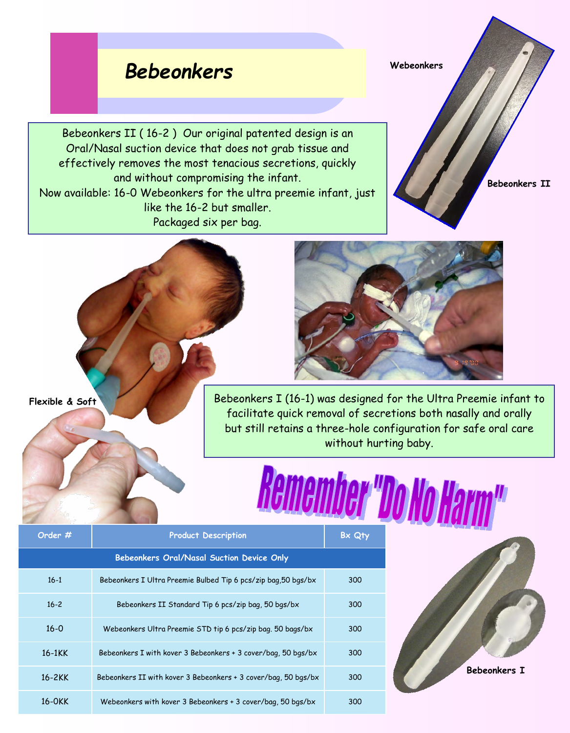## *Bebeonkers*

Bebeonkers II ( 16-2 ) Our original patented design is an Oral/Nasal suction device that does not grab tissue and effectively removes the most tenacious secretions, quickly and without compromising the infant. Now available: 16-0 Webeonkers for the ultra preemie infant, just like the 16-2 but smaller. Packaged six per bag.

**Webeonkers**

**Bebeonkers II** 



**Flexible & Soft**

Bebeonkers I (16-1) was designed for the Ultra Preemie infant to facilitate quick removal of secretions both nasally and orally but still retains a three-hole configuration for safe oral care without hurting baby.

## Remember DoNoHa

| Order #                                   | <b>Product Description</b>                                     | Bx Qty |
|-------------------------------------------|----------------------------------------------------------------|--------|
| Bebeonkers Oral/Nasal Suction Device Only |                                                                |        |
| $16-1$                                    | Bebeonkers I Ultra Preemie Bulbed Tip 6 pcs/zip bag, 50 bgs/bx | 300    |
| $16 - 2$                                  | Bebeonkers II Standard Tip 6 pcs/zip bag, 50 bgs/bx            | 300    |
| $16 - 0$                                  | Webeonkers Ultra Preemie STD tip 6 pcs/zip bag. 50 bags/bx     | 300    |
| $16-1KK$                                  | Bebeonkers I with kover 3 Bebeonkers + 3 cover/bag, 50 bgs/bx  | 300    |
| $16 - 2KK$                                | Bebeonkers II with kover 3 Bebeonkers + 3 cover/bag, 50 bgs/bx | 300    |
| 16-0KK                                    | Webeonkers with kover 3 Bebeonkers + 3 cover/bag, 50 bgs/bx    | 300    |

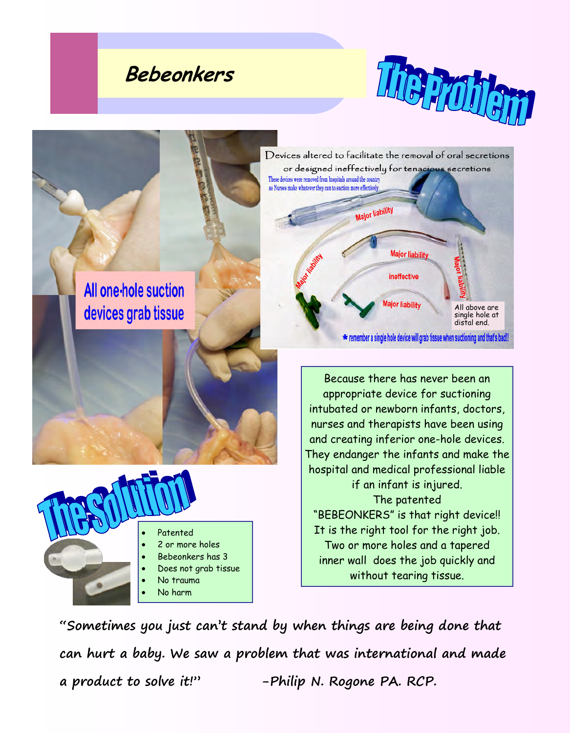## **Bebeonkers**





**"Sometimes you just can't stand by when things are being done that can hurt a baby. We saw a problem that was international and made a product to solve it!" -Philip N. Rogone PA. RCP.**